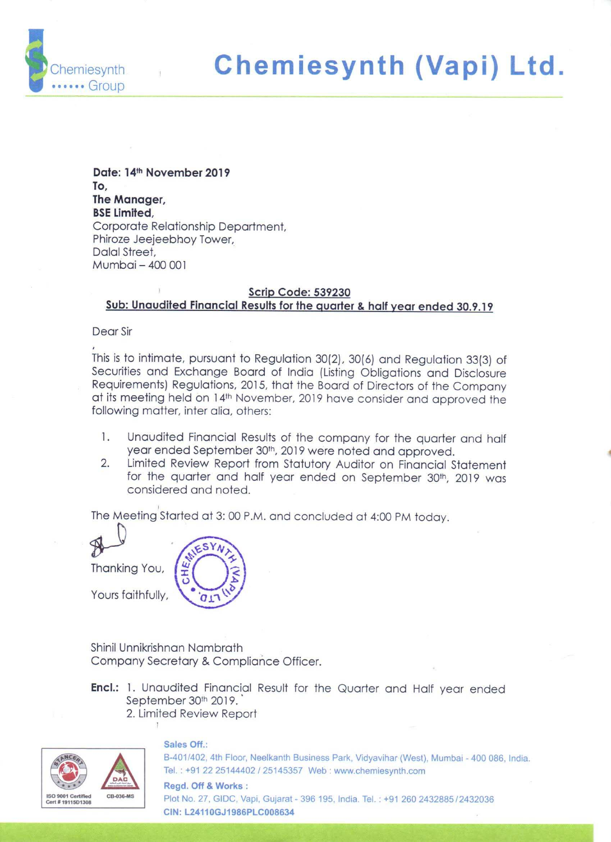

Date: 14" November 2019 To, The Manager, **BSE Limited.** Corporate Relationship Department, Phiroze Jeejeebhoy Tower, Dalal Street, Mumbai — 400 001

# Scrip Code: 539230 Sub: Unaudited Financial Results for the quarter & half year ended 30.9.19

Dear Sir

This is to intimate, pursuant to Regulation 30(2), 30(6) and Regulation 33(3) of Securities and Exchange Board of India (Listing Obligations and Disclosure Requirements) Regulations, 2015, that the Board of Directors of th following matter, inter alia, others:

- 1. Unaudited Financial Results of the company for the quarter and half year ended September 30", 2019 were noted and approved.
- 2. Limited Review Report from Statutory Auditor on Financial Statement for the quarter and half year ended on September 30th, 2019 was considered and noted.

The Meeting Started at 3: 00 P.M. and concluded at 4:00 PM today.

 $\mathbb{R}$ Thanking You,

Yours faithfully,

Shinil Unnikrishnan Nambrath Company Secretary & Compliance Officer.

- **Encl.:** 1. Unaudited Financial Result for the Quarter and Half year ended September 30th 2019. 2. Limited Review Report
- $\begin{array}{c} \begin{array}{c} \begin{array}{c} \begin{array}{c} \end{array} \\ \begin{array}{c} \end{array} \\ \begin{array}{c} \end{array} \\ \begin{array}{c} \end{array} \\ \begin{array}{c} \end{array} \\ \begin{array}{c} \end{array} \\ \begin{array}{c} \end{array} \end{array} \end{array}$ SIS 0901 Certified SO 9001 Certified<br>SO 9001 Certified<br>ort # 1911501308 CB-036-MS ert #19115D1308

# Sales Off.:

B-401/402, 4th Floor, Neelkanth Business Park, Vidyavihar (West), Mumbai - 400 086, India. Tel. : +91 22 25144402 / 25145357 Web : www.chemiesynth.com

I. : +91 22 2<br>egd. Off & V<br>ot No. 27, G<br>N: L24110G Regd. Off & Works : Plot No. 27, GIDC, Vapi, Gujarat - 396 195, India. Tel. : +91 260 2432885 /2432036 CIN: L24110GJ1986PLC008634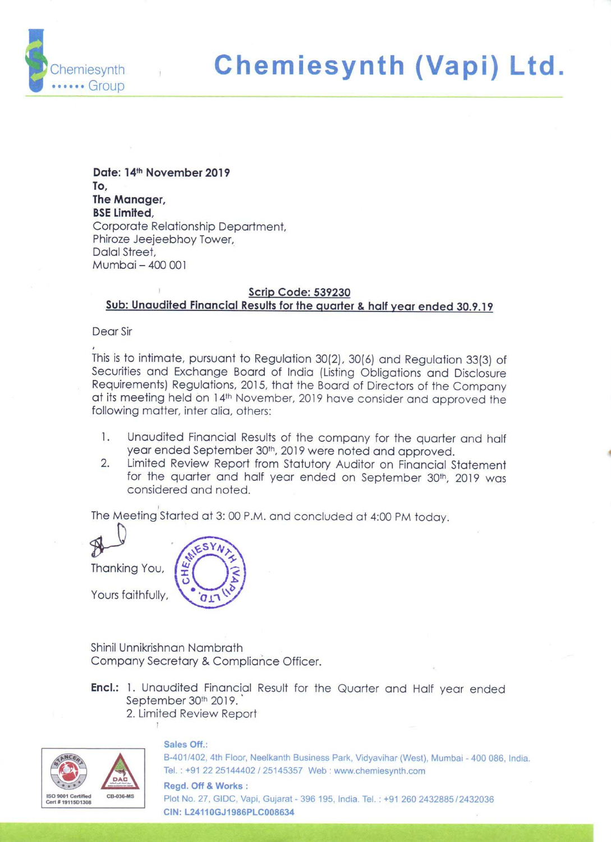### CHEMIESYNTH(VAPI) LIMITED

Registered Add: Plot no-27, 1st phase GIDC Vapi, Gujarat Web: www.chemiesynth.com eMail: corporate@chemiesynth.com CIN L24110GJ1986PLC008634



## (Rs in Lakh, unless otherwise stated) Statement of Standalone Unaudited Financial Result for the quarter and half year ended 30/09/2019

|                         | <b>Particulars</b>                                                                    | <b>Quarter Ended</b><br>30/09/2019 | <b>Quarter Ended</b><br>30/06/2019 | Quarter Ended<br>30/09/2018 | <b>Six Months</b><br>Ended<br>30/09/2019 | <b>Six Months</b><br>Ended<br>30/09/2018 | <b>Year Ended</b><br>31/03/2019 |
|-------------------------|---------------------------------------------------------------------------------------|------------------------------------|------------------------------------|-----------------------------|------------------------------------------|------------------------------------------|---------------------------------|
|                         | (Refer Notes Below)                                                                   | (un-audited)                       | (un-audited)                       | (un-audited)                | (un-audited)                             | (un-audited)                             | (audited)                       |
|                         | Revenue From Operations                                                               | 345.76                             | 396.07                             | 262.11                      | 741.83                                   | 498.08                                   | 1120 12                         |
| Ш                       | Other Income                                                                          | 3.82                               | 0.00                               | 0.00                        | 3.82                                     | 1.92                                     | 5.76                            |
| Ш                       | Total income (I+II)                                                                   | 349.58                             | 396.07                             | 262.11                      | 745.65                                   | 500.00                                   | 1125.88                         |
| IV                      | Expenses                                                                              |                                    |                                    |                             |                                          |                                          |                                 |
|                         | (a) Cost of Materials consumed                                                        | 68 82                              | 129 43                             | 44.49                       | 198.25                                   | 64 66                                    | 241.98                          |
|                         | (b) Changes in inventories of finished goods, work-in-<br>progress and stock-in-trade | 16.53                              | $-29.15$                           | 1.28                        | $-12.62$                                 | $-16.64$                                 | $-50.74$                        |
|                         | (c) Employee benefits expense                                                         | 34.29                              | 43.58                              | 30.97                       | 77.87                                    | 61 58                                    | 150.32                          |
|                         | (d) Finance Costs<br>$\mathcal{L}_{\mathcal{L}}$                                      | 5.05                               | 4.13                               | 1.77                        | 9.18                                     | 4.85                                     | 7.80                            |
|                         | (e) Depreciation and amortization expense                                             | 13.35                              | 12.00                              | 13.03                       | 25.35                                    | 26.06                                    | 45.69                           |
|                         | (f) Other expenses                                                                    | 196.09                             | 182.77                             | 130.71                      | 378.86                                   | 256.89                                   | 585.21                          |
|                         | <b>Total Expenses (IV)</b>                                                            | 334.13                             | 342.76                             | 222.25                      | 676.89                                   | 397.40                                   | 980.26                          |
| v                       | Profit / (Loss) before tax (III-IV)                                                   | 15.45                              | 53.31                              | 39.86                       | 68.76                                    | 102.60                                   | 145.62                          |
| VI                      | Tax expense                                                                           |                                    |                                    |                             |                                          |                                          |                                 |
|                         | (1) Current tax                                                                       | 10.00                              | 0.00                               | 0.00                        | 10.00                                    | 0.00                                     | 28.25                           |
|                         | (2) Deferred Tax                                                                      | 0.00                               | 0.00                               | <b>D 00</b>                 | 0.00                                     | 0.00                                     | 0.00                            |
| VII                     | Profit / (Loss) for the Period from continuing<br>operations (V-VI)                   | 5.45                               | 53.31                              | 39.86                       | 58.76                                    | 102.60                                   | 117.37                          |
| VIII                    | Profit/Loss for the year                                                              | 5.45                               | 53.31                              | 39.86                       | 58.76                                    | 102.60                                   | 117.37                          |
| IX                      | Other Comprehensive Income                                                            |                                    |                                    |                             |                                          |                                          |                                 |
|                         | a) Items that will be reclassified to profit or loss                                  | 0.00                               | 0.00                               | 0.00                        | 0.00                                     | 0.00                                     | 0.00                            |
|                         | b) Items that will not be reclassifed to profit or loss                               | 0.00                               | 0.00                               | 0.00                        | 0.00                                     | 0.00                                     | 0.00                            |
|                         | c)Income tax relating to items that will not be reclassfied to<br>profit or loss      | 0.00                               | 0.00                               | 0.00                        | 0.00                                     | 0.00                                     | 0.00                            |
|                         | d)Income tax relating to items that will be reclassified to<br>profit or loss         | 0.00                               | 0.00                               | 0.00                        | 0.00                                     | 0.00                                     | 0.00                            |
|                         | Total other comprehensive income                                                      | 0.00                               | 0.00                               | 0.00                        | 0.00                                     | 0.00                                     | 0.00                            |
| x                       | <b>Total Comprehensive Income</b>                                                     | 5.45                               | 53.31                              | 39.86                       | 58.76                                    | 102.60                                   | 117.37                          |
| $\overline{\mathbf{X}}$ | Paid-up equity capital (face value Rs. 10 Per Share)                                  | 307.00                             | 307.00                             | 307.00                      | 307.00                                   | 307.00                                   | 307.00                          |
| XII                     | <b>Earnings Per Equity Share</b>                                                      |                                    |                                    |                             |                                          |                                          |                                 |
|                         | (a) Basic (In Rs.)                                                                    | 0.18                               | 1.74                               | 1.30                        | 1.91                                     | 3.34                                     | 3.82                            |
|                         | (b) Diluted (In Rs.)                                                                  | 0.18                               | 1.74                               | 1.30                        | 191                                      | 3.34                                     | 3.82                            |

### **Notes**

1. The Statement has been prepared in accordance with the Companies (Indian Accounting Standards) Rules, 2015 (Ind AS) prescribed under section 133 of the Companies Act 2013 and other recognized accounting practices and policies to the extent applicable.

2. The above unaudited financial results have been reviewed by the audit committee and approved by the Board of Directors at its meeting held on 14th November, 2019, The Statutory Auditors have carried out a limited review of the above financial results.

3. The results of the Company for the quarter and half year ended September 30, 2019 are available on the Company's Website - www.chemiesynth.com

4. Company Operates in only one business segment i.e Chemical Manufacturing

5. Previous periods/year's figures have been regrouped wherever necessary.

By Order of the Board for Chemiesynth Vapi Ltd Awer

Mr. Sandip S Zaveri Managing Director DIN 00158876

Vapi, November 14, 2019



ś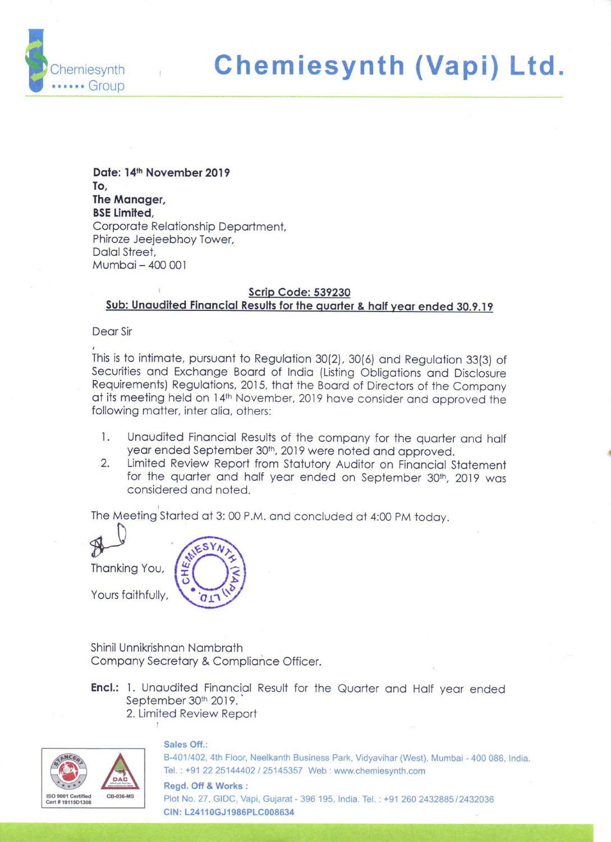# CHEMIESYNTH(VAPI) LIMITED



|              | CHEMIESYNTH(VAPI) LIMITED                                                              |                    |                                       |
|--------------|----------------------------------------------------------------------------------------|--------------------|---------------------------------------|
|              |                                                                                        |                    | Greensme you're<br>Children aver      |
|              | Registered Add: Plot no-27, 1st phase, GIDC Vapi, Gujarat.                             |                    |                                       |
|              | Web: www.chemiesynth.com email: corporate@chemiesynth.com<br>CIN:L24110GJ1986PLC008634 |                    |                                       |
|              |                                                                                        |                    | (Rs in Lakh, unless otherwise stated) |
| S.No         | Statement of Assets and Liabilities as at 30th September, 2019<br><b>Particulars</b>   | As at              | As at                                 |
|              | <b>A. ASSETS</b>                                                                       | September 30, 2019 | March 31, 2019                        |
| $\mathbf I$  | <b>Non-Current Assets</b>                                                              |                    |                                       |
|              | (a) Property, plant and equipment<br>(b) Financial Assets                              | 1,219.16           | 1,093.68                              |
|              | a) Other Investments                                                                   | 0.35               | 0.35                                  |
|              | (c) Other Non Current Assets<br><b>Total non-current assets</b>                        | 29.49<br>1,249.00  | 29.04<br>1,123.07                     |
|              |                                                                                        |                    |                                       |
| II           | <b>Current Assets</b><br>(a) Inventories                                               | 216.13             | 120.96                                |
|              | (b) Financial Assets                                                                   |                    |                                       |
|              | (i) Trade Receivables<br>(ii) Cash and Cash Equivalents                                | 190.96<br>35.99    | 169.32<br>52.44                       |
|              | (c) Other Current Assets                                                               | 60.61              | 21.39                                 |
|              | <b>Total current assets</b>                                                            | 503.69             | 364.11                                |
| III          | <b>TOTAL ASSETS</b>                                                                    | 1,752.69           | 1,487.18                              |
|              | <b>B. EQUITY AND LIABILITIES</b>                                                       |                    |                                       |
| IV           | Equity                                                                                 |                    |                                       |
|              | (a) Equity Share Capital<br>(b) Other Equity                                           | 307.00<br>110.60   | 307.00<br>51.84                       |
|              | <b>Total equity</b>                                                                    | 417.60             | 358.84                                |
| $\mathsf{V}$ | <b>Liabilities</b>                                                                     |                    |                                       |
|              | <b>Non-Current Liabilities</b>                                                         |                    |                                       |
|              | (a) Financial Liabilities<br>i. Borrowings                                             | 724.90             | 694.00                                |
|              | (b) Other non-current liabilities                                                      | 25.00              | 35.00                                 |
|              | <b>Total non-current liabilities</b>                                                   | 749.90             | 729.00                                |
|              | <b>Current Liabilities</b>                                                             |                    |                                       |
|              | (a) Financial Liabilities<br>i. Borrowings                                             | 249.60             | 73.51                                 |
|              | ii. Trade Payables                                                                     |                    |                                       |
|              | a). Dues of micro & small enterprise<br>b). Dues other                                 | 4.47<br>313.93     |                                       |
|              | (b) Other Current Liabilities                                                          | 15.03              | 316.81<br>5.44                        |
|              | <b>Total current liabilities</b>                                                       | 583.03             | 395.76                                |
|              | <b>Provisions for Income Tax (Net)</b>                                                 | 2.16               | 2.68                                  |
|              | <b>Total Liabilities</b>                                                               | 1,335.09           | 1,128.34                              |
|              |                                                                                        |                    |                                       |
| VI           | TOTAL EQUITY AND LIABILITIES                                                           | 1,752.69           | 1,487.18                              |



Maneri